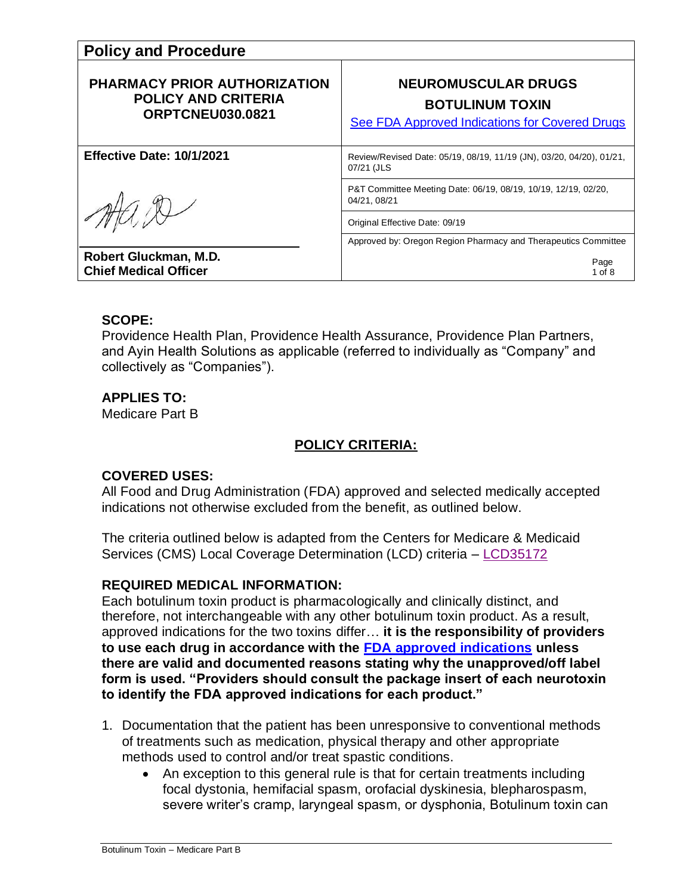| <b>Policy and Procedure</b>                                                                  |                                                                                                               |
|----------------------------------------------------------------------------------------------|---------------------------------------------------------------------------------------------------------------|
| <b>PHARMACY PRIOR AUTHORIZATION</b><br><b>POLICY AND CRITERIA</b><br><b>ORPTCNEU030.0821</b> | <b>NEUROMUSCULAR DRUGS</b><br><b>BOTULINUM TOXIN</b><br><b>See FDA Approved Indications for Covered Drugs</b> |
| Effective Date: 10/1/2021                                                                    | Review/Revised Date: 05/19, 08/19, 11/19 (JN), 03/20, 04/20), 01/21,<br>07/21 (JLS                            |
|                                                                                              | P&T Committee Meeting Date: 06/19, 08/19, 10/19, 12/19, 02/20,<br>04/21, 08/21                                |
|                                                                                              | Original Effective Date: 09/19                                                                                |
|                                                                                              | Approved by: Oregon Region Pharmacy and Therapeutics Committee                                                |
| Robert Gluckman, M.D.<br><b>Chief Medical Officer</b>                                        | Page<br>$1$ of $8$                                                                                            |

### **SCOPE:**

Providence Health Plan, Providence Health Assurance, Providence Plan Partners, and Ayin Health Solutions as applicable (referred to individually as "Company" and collectively as "Companies").

## **APPLIES TO:**

Medicare Part B

# **POLICY CRITERIA:**

## **COVERED USES:**

All Food and Drug Administration (FDA) approved and selected medically accepted indications not otherwise excluded from the benefit, as outlined below.

The criteria outlined below is adapted from the Centers for Medicare & Medicaid Services (CMS) Local Coverage Determination (LCD) criteria – [LCD35172](https://www.cms.gov/medicare-coverage-database/details/lcd-details.aspx?lcdid=35172&ver=62&bc=CAAAAAAAAAAA)

## **REQUIRED MEDICAL INFORMATION:**

Each botulinum toxin product is pharmacologically and clinically distinct, and therefore, not interchangeable with any other botulinum toxin product. As a result, approved indications for the two toxins differ… **it is the responsibility of providers to use each drug in accordance with the [FDA approved indications](#page-4-0) unless there are valid and documented reasons stating why the unapproved/off label form is used. "Providers should consult the package insert of each neurotoxin to identify the FDA approved indications for each product."**

- 1. Documentation that the patient has been unresponsive to conventional methods of treatments such as medication, physical therapy and other appropriate methods used to control and/or treat spastic conditions.
	- An exception to this general rule is that for certain treatments including focal dystonia, hemifacial spasm, orofacial dyskinesia, blepharospasm, severe writer's cramp, laryngeal spasm, or dysphonia, Botulinum toxin can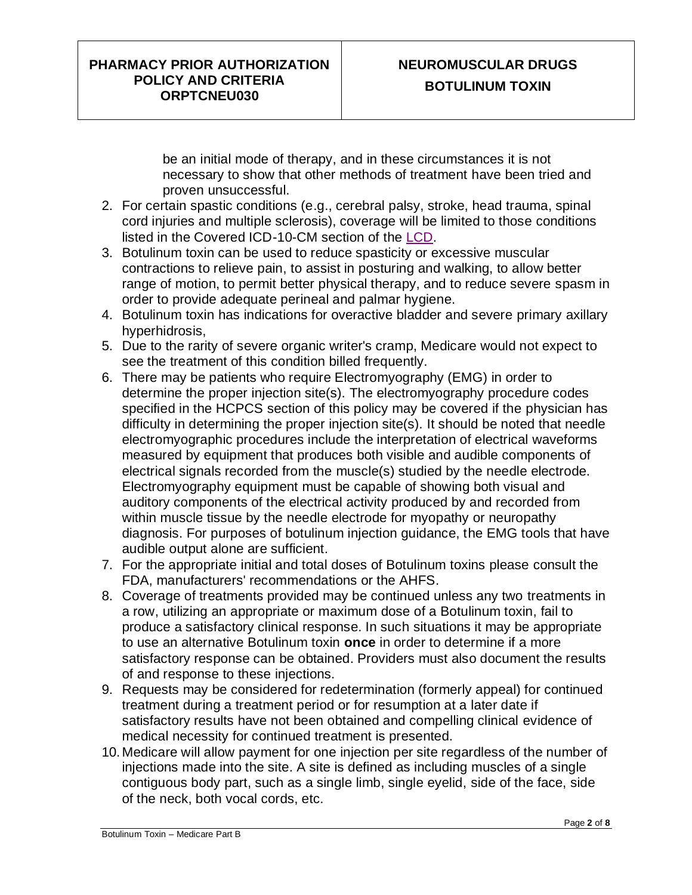# **NEUROMUSCULAR DRUGS BOTULINUM TOXIN**

be an initial mode of therapy, and in these circumstances it is not necessary to show that other methods of treatment have been tried and proven unsuccessful.

- 2. For certain spastic conditions (e.g., cerebral palsy, stroke, head trauma, spinal cord injuries and multiple sclerosis), coverage will be limited to those conditions listed in the Covered ICD-10-CM section of the [LCD.](https://www.cms.gov/medicare-coverage-database/view/article.aspx?articleId=57186)
- 3. Botulinum toxin can be used to reduce spasticity or excessive muscular contractions to relieve pain, to assist in posturing and walking, to allow better range of motion, to permit better physical therapy, and to reduce severe spasm in order to provide adequate perineal and palmar hygiene.
- 4. Botulinum toxin has indications for overactive bladder and severe primary axillary hyperhidrosis,
- 5. Due to the rarity of severe organic writer's cramp, Medicare would not expect to see the treatment of this condition billed frequently.
- 6. There may be patients who require Electromyography (EMG) in order to determine the proper injection site(s). The electromyography procedure codes specified in the HCPCS section of this policy may be covered if the physician has difficulty in determining the proper injection site(s). It should be noted that needle electromyographic procedures include the interpretation of electrical waveforms measured by equipment that produces both visible and audible components of electrical signals recorded from the muscle(s) studied by the needle electrode. Electromyography equipment must be capable of showing both visual and auditory components of the electrical activity produced by and recorded from within muscle tissue by the needle electrode for myopathy or neuropathy diagnosis. For purposes of botulinum injection guidance, the EMG tools that have audible output alone are sufficient.
- 7. For the appropriate initial and total doses of Botulinum toxins please consult the FDA, manufacturers' recommendations or the AHFS.
- 8. Coverage of treatments provided may be continued unless any two treatments in a row, utilizing an appropriate or maximum dose of a Botulinum toxin, fail to produce a satisfactory clinical response. In such situations it may be appropriate to use an alternative Botulinum toxin **once** in order to determine if a more satisfactory response can be obtained. Providers must also document the results of and response to these injections.
- 9. Requests may be considered for redetermination (formerly appeal) for continued treatment during a treatment period or for resumption at a later date if satisfactory results have not been obtained and compelling clinical evidence of medical necessity for continued treatment is presented.
- 10. Medicare will allow payment for one injection per site regardless of the number of injections made into the site. A site is defined as including muscles of a single contiguous body part, such as a single limb, single eyelid, side of the face, side of the neck, both vocal cords, etc.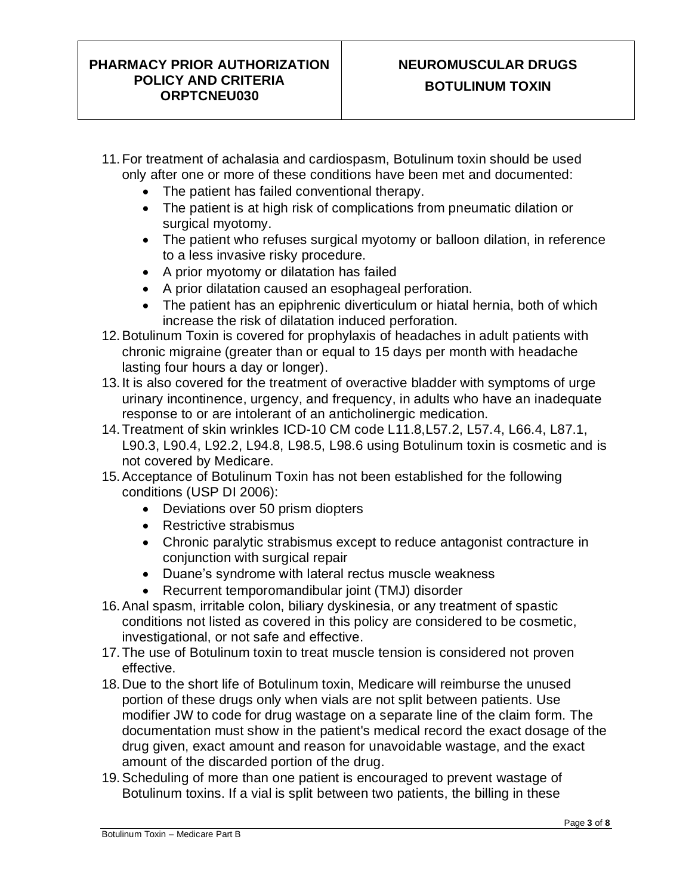# **NEUROMUSCULAR DRUGS BOTULINUM TOXIN**

- 11.For treatment of achalasia and cardiospasm, Botulinum toxin should be used only after one or more of these conditions have been met and documented:
	- The patient has failed conventional therapy.
	- The patient is at high risk of complications from pneumatic dilation or surgical myotomy.
	- The patient who refuses surgical myotomy or balloon dilation, in reference to a less invasive risky procedure.
	- A prior myotomy or dilatation has failed
	- A prior dilatation caused an esophageal perforation.
	- The patient has an epiphrenic diverticulum or hiatal hernia, both of which increase the risk of dilatation induced perforation.
- 12.Botulinum Toxin is covered for prophylaxis of headaches in adult patients with chronic migraine (greater than or equal to 15 days per month with headache lasting four hours a day or longer).
- 13. It is also covered for the treatment of overactive bladder with symptoms of urge urinary incontinence, urgency, and frequency, in adults who have an inadequate response to or are intolerant of an anticholinergic medication.
- 14.Treatment of skin wrinkles ICD-10 CM code L11.8,L57.2, L57.4, L66.4, L87.1, L90.3, L90.4, L92.2, L94.8, L98.5, L98.6 using Botulinum toxin is cosmetic and is not covered by Medicare.
- 15.Acceptance of Botulinum Toxin has not been established for the following conditions (USP DI 2006):
	- Deviations over 50 prism diopters
	- Restrictive strabismus
	- Chronic paralytic strabismus except to reduce antagonist contracture in conjunction with surgical repair
	- Duane's syndrome with lateral rectus muscle weakness
	- Recurrent temporomandibular joint (TMJ) disorder
- 16.Anal spasm, irritable colon, biliary dyskinesia, or any treatment of spastic conditions not listed as covered in this policy are considered to be cosmetic, investigational, or not safe and effective.
- 17.The use of Botulinum toxin to treat muscle tension is considered not proven effective.
- 18. Due to the short life of Botulinum toxin, Medicare will reimburse the unused portion of these drugs only when vials are not split between patients. Use modifier JW to code for drug wastage on a separate line of the claim form. The documentation must show in the patient's medical record the exact dosage of the drug given, exact amount and reason for unavoidable wastage, and the exact amount of the discarded portion of the drug.
- 19.Scheduling of more than one patient is encouraged to prevent wastage of Botulinum toxins. If a vial is split between two patients, the billing in these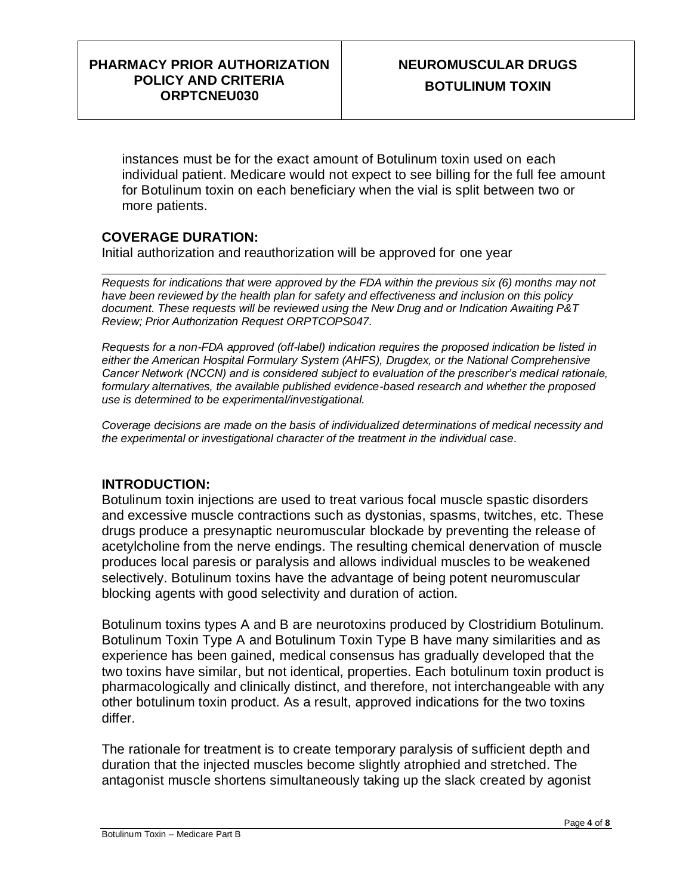instances must be for the exact amount of Botulinum toxin used on each individual patient. Medicare would not expect to see billing for the full fee amount for Botulinum toxin on each beneficiary when the vial is split between two or more patients.

## **COVERAGE DURATION:**

Initial authorization and reauthorization will be approved for one year

**\_\_\_\_\_\_\_\_\_\_\_\_\_\_\_\_\_\_\_\_\_\_\_\_\_\_\_\_\_\_\_\_\_\_\_\_\_\_\_\_\_\_\_\_\_\_\_\_\_\_\_\_\_\_\_\_\_\_\_\_\_\_\_\_\_\_\_** *Requests for indications that were approved by the FDA within the previous six (6) months may not have been reviewed by the health plan for safety and effectiveness and inclusion on this policy document. These requests will be reviewed using the New Drug and or Indication Awaiting P&T Review; Prior Authorization Request ORPTCOPS047.*

*Requests for a non-FDA approved (off-label) indication requires the proposed indication be listed in either the American Hospital Formulary System (AHFS), Drugdex, or the National Comprehensive Cancer Network (NCCN) and is considered subject to evaluation of the prescriber's medical rationale, formulary alternatives, the available published evidence-based research and whether the proposed use is determined to be experimental/investigational.* 

*Coverage decisions are made on the basis of individualized determinations of medical necessity and the experimental or investigational character of the treatment in the individual case.*

#### **INTRODUCTION:**

Botulinum toxin injections are used to treat various focal muscle spastic disorders and excessive muscle contractions such as dystonias, spasms, twitches, etc. These drugs produce a presynaptic neuromuscular blockade by preventing the release of acetylcholine from the nerve endings. The resulting chemical denervation of muscle produces local paresis or paralysis and allows individual muscles to be weakened selectively. Botulinum toxins have the advantage of being potent neuromuscular blocking agents with good selectivity and duration of action.

Botulinum toxins types A and B are neurotoxins produced by Clostridium Botulinum. Botulinum Toxin Type A and Botulinum Toxin Type B have many similarities and as experience has been gained, medical consensus has gradually developed that the two toxins have similar, but not identical, properties. Each botulinum toxin product is pharmacologically and clinically distinct, and therefore, not interchangeable with any other botulinum toxin product. As a result, approved indications for the two toxins differ.

The rationale for treatment is to create temporary paralysis of sufficient depth and duration that the injected muscles become slightly atrophied and stretched. The antagonist muscle shortens simultaneously taking up the slack created by agonist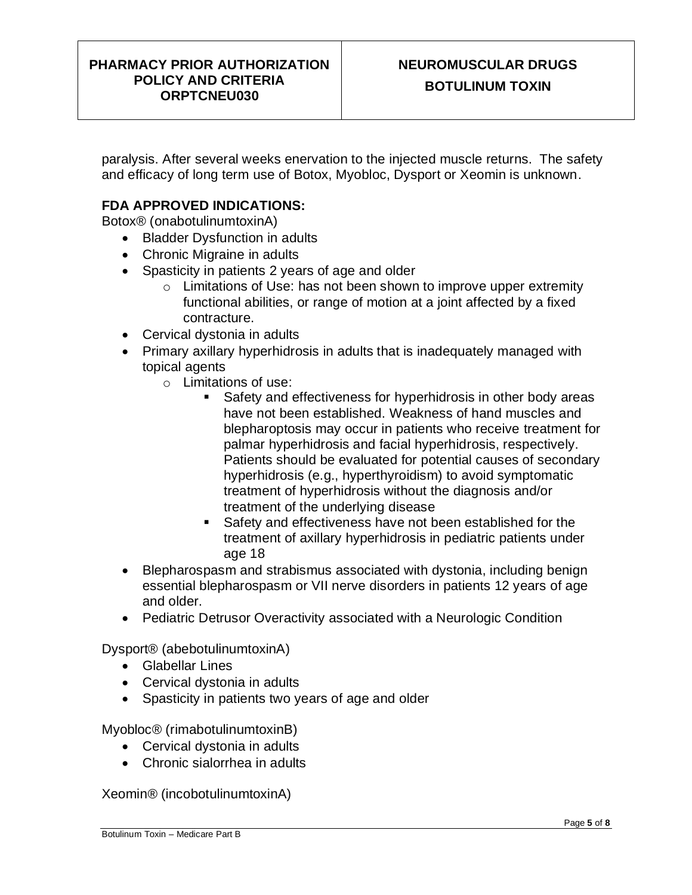paralysis. After several weeks enervation to the injected muscle returns. The safety and efficacy of long term use of Botox, Myobloc, Dysport or Xeomin is unknown.

## <span id="page-4-0"></span>**FDA APPROVED INDICATIONS:**

Botox® (onabotulinumtoxinA)

- Bladder Dysfunction in adults
- Chronic Migraine in adults
- Spasticity in patients 2 years of age and older
	- o Limitations of Use: has not been shown to improve upper extremity functional abilities, or range of motion at a joint affected by a fixed contracture.
- Cervical dystonia in adults
- Primary axillary hyperhidrosis in adults that is inadequately managed with topical agents
	- o Limitations of use:
		- Safety and effectiveness for hyperhidrosis in other body areas have not been established. Weakness of hand muscles and blepharoptosis may occur in patients who receive treatment for palmar hyperhidrosis and facial hyperhidrosis, respectively. Patients should be evaluated for potential causes of secondary hyperhidrosis (e.g., hyperthyroidism) to avoid symptomatic treatment of hyperhidrosis without the diagnosis and/or treatment of the underlying disease
		- Safety and effectiveness have not been established for the treatment of axillary hyperhidrosis in pediatric patients under age 18
- Blepharospasm and strabismus associated with dystonia, including benign essential blepharospasm or VII nerve disorders in patients 12 years of age and older.
- Pediatric Detrusor Overactivity associated with a Neurologic Condition

Dysport® (abebotulinumtoxinA)

- Glabellar Lines
- Cervical dystonia in adults
- Spasticity in patients two years of age and older

Myobloc® (rimabotulinumtoxinB)

- Cervical dystonia in adults
- Chronic sialorrhea in adults

Xeomin® (incobotulinumtoxinA)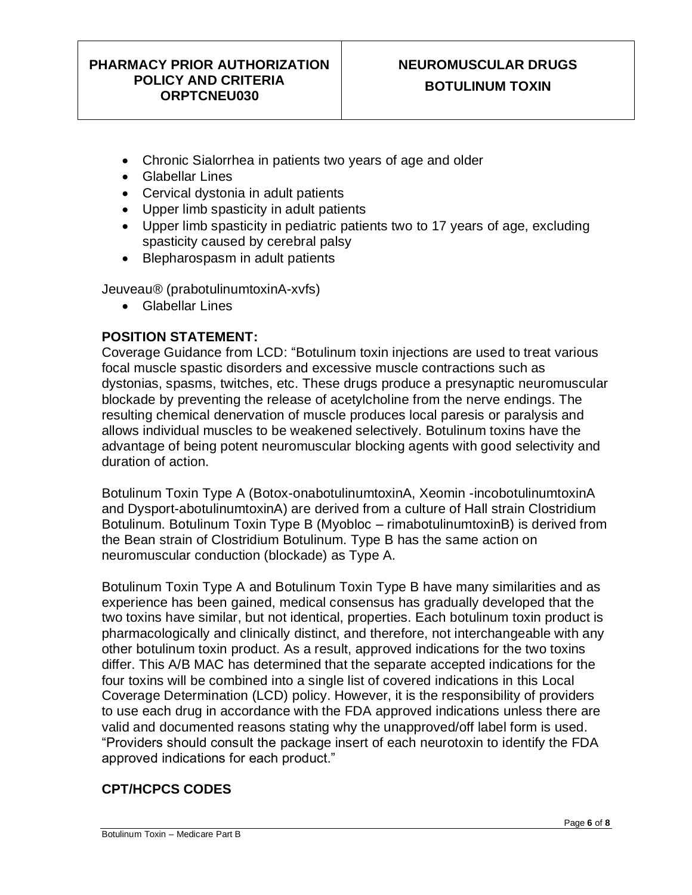- Chronic Sialorrhea in patients two years of age and older
- Glabellar Lines
- Cervical dystonia in adult patients
- Upper limb spasticity in adult patients
- Upper limb spasticity in pediatric patients two to 17 years of age, excluding spasticity caused by cerebral palsy
- Blepharospasm in adult patients

Jeuveau® (prabotulinumtoxinA-xvfs)

• Glabellar Lines

#### **POSITION STATEMENT:**

Coverage Guidance from LCD: "Botulinum toxin injections are used to treat various focal muscle spastic disorders and excessive muscle contractions such as dystonias, spasms, twitches, etc. These drugs produce a presynaptic neuromuscular blockade by preventing the release of acetylcholine from the nerve endings. The resulting chemical denervation of muscle produces local paresis or paralysis and allows individual muscles to be weakened selectively. Botulinum toxins have the advantage of being potent neuromuscular blocking agents with good selectivity and duration of action.

Botulinum Toxin Type A (Botox-onabotulinumtoxinA, Xeomin -incobotulinumtoxinA and Dysport-abotulinumtoxinA) are derived from a culture of Hall strain Clostridium Botulinum. Botulinum Toxin Type B (Myobloc – rimabotulinumtoxinB) is derived from the Bean strain of Clostridium Botulinum. Type B has the same action on neuromuscular conduction (blockade) as Type A.

Botulinum Toxin Type A and Botulinum Toxin Type B have many similarities and as experience has been gained, medical consensus has gradually developed that the two toxins have similar, but not identical, properties. Each botulinum toxin product is pharmacologically and clinically distinct, and therefore, not interchangeable with any other botulinum toxin product. As a result, approved indications for the two toxins differ. This A/B MAC has determined that the separate accepted indications for the four toxins will be combined into a single list of covered indications in this Local Coverage Determination (LCD) policy. However, it is the responsibility of providers to use each drug in accordance with the FDA approved indications unless there are valid and documented reasons stating why the unapproved/off label form is used. "Providers should consult the package insert of each neurotoxin to identify the FDA approved indications for each product."

## **CPT/HCPCS CODES**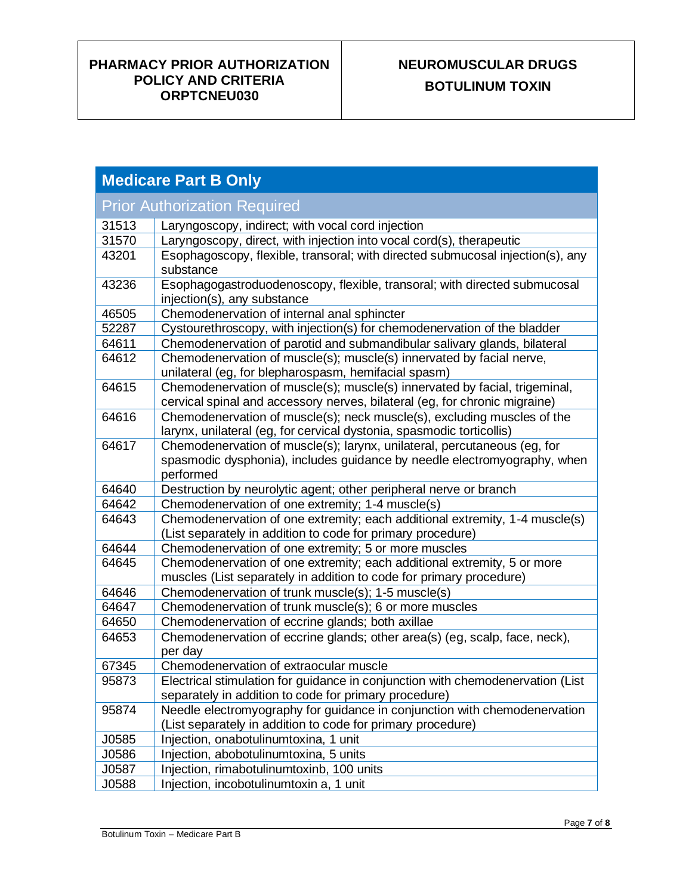# **NEUROMUSCULAR DRUGS BOTULINUM TOXIN**

| <b>Medicare Part B Only</b> |                                                                                                                                                                   |  |
|-----------------------------|-------------------------------------------------------------------------------------------------------------------------------------------------------------------|--|
|                             | <b>Prior Authorization Required</b>                                                                                                                               |  |
| 31513                       | Laryngoscopy, indirect; with vocal cord injection                                                                                                                 |  |
| 31570                       | Laryngoscopy, direct, with injection into vocal cord(s), therapeutic                                                                                              |  |
| 43201                       | Esophagoscopy, flexible, transoral; with directed submucosal injection(s), any<br>substance                                                                       |  |
| 43236                       | Esophagogastroduodenoscopy, flexible, transoral; with directed submucosal<br>injection(s), any substance                                                          |  |
| 46505                       | Chemodenervation of internal anal sphincter                                                                                                                       |  |
| 52287                       | Cystourethroscopy, with injection(s) for chemodenervation of the bladder                                                                                          |  |
| 64611                       | Chemodenervation of parotid and submandibular salivary glands, bilateral                                                                                          |  |
| 64612                       | Chemodenervation of muscle(s); muscle(s) innervated by facial nerve,<br>unilateral (eg, for blepharospasm, hemifacial spasm)                                      |  |
| 64615                       | Chemodenervation of muscle(s); muscle(s) innervated by facial, trigeminal,<br>cervical spinal and accessory nerves, bilateral (eg, for chronic migraine)          |  |
| 64616                       | Chemodenervation of muscle(s); neck muscle(s), excluding muscles of the<br>larynx, unilateral (eg, for cervical dystonia, spasmodic torticollis)                  |  |
| 64617                       | Chemodenervation of muscle(s); larynx, unilateral, percutaneous (eg, for<br>spasmodic dysphonia), includes guidance by needle electromyography, when<br>performed |  |
| 64640                       | Destruction by neurolytic agent; other peripheral nerve or branch                                                                                                 |  |
| 64642                       | Chemodenervation of one extremity; 1-4 muscle(s)                                                                                                                  |  |
| 64643                       | Chemodenervation of one extremity; each additional extremity, 1-4 muscle(s)<br>(List separately in addition to code for primary procedure)                        |  |
| 64644                       | Chemodenervation of one extremity; 5 or more muscles                                                                                                              |  |
| 64645                       | Chemodenervation of one extremity; each additional extremity, 5 or more<br>muscles (List separately in addition to code for primary procedure)                    |  |
| 64646                       | Chemodenervation of trunk muscle(s); 1-5 muscle(s)                                                                                                                |  |
| 64647                       | Chemodenervation of trunk muscle(s); 6 or more muscles                                                                                                            |  |
| 64650                       | Chemodenervation of eccrine glands; both axillae                                                                                                                  |  |
| 64653                       | Chemodenervation of eccrine glands; other area(s) (eg, scalp, face, neck),<br>per day                                                                             |  |
| 67345                       | Chemodenervation of extraocular muscle                                                                                                                            |  |
| 95873                       | Electrical stimulation for guidance in conjunction with chemodenervation (List                                                                                    |  |
|                             | separately in addition to code for primary procedure)                                                                                                             |  |
| 95874                       | Needle electromyography for guidance in conjunction with chemodenervation                                                                                         |  |
|                             | (List separately in addition to code for primary procedure)                                                                                                       |  |
| J0585                       | Injection, onabotulinumtoxina, 1 unit                                                                                                                             |  |
| J0586                       | Injection, abobotulinumtoxina, 5 units                                                                                                                            |  |
| J0587                       | Injection, rimabotulinumtoxinb, 100 units                                                                                                                         |  |
| J0588                       | Injection, incobotulinumtoxin a, 1 unit                                                                                                                           |  |